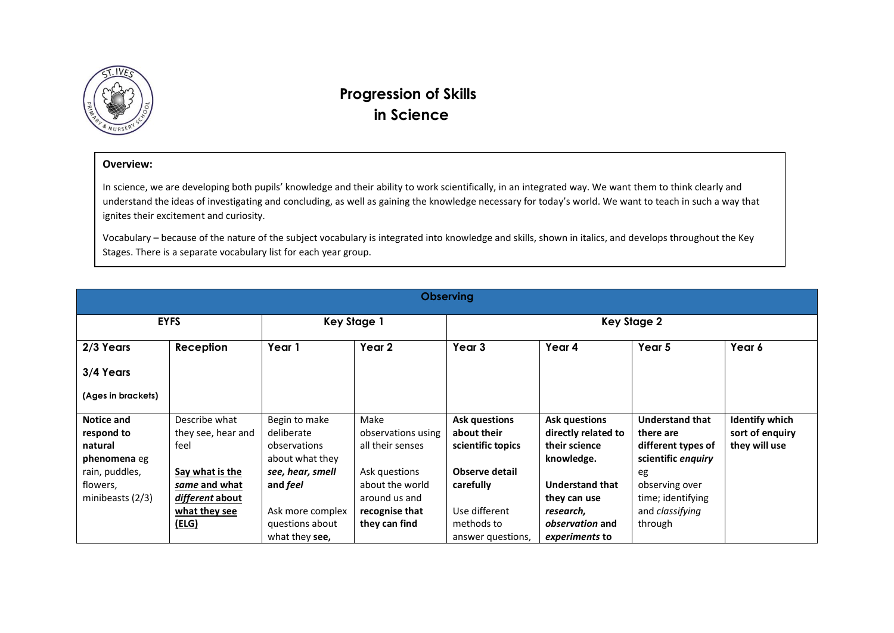

## **Progression of Skills in Science**

## **Overview:**

In science, we are developing both pupils' knowledge and their ability to work scientifically, in an integrated way. We want them to think clearly and understand the ideas of investigating and concluding, as well as gaining the knowledge necessary for today's world. We want to teach in such a way that ignites their excitement and curiosity.

Vocabulary – because of the nature of the subject vocabulary is integrated into knowledge and skills, shown in italics, and develops throughout the Key Stages. There is a separate vocabulary list for each year group.

| <b>Observing</b>                                                                                               |                                                                                                                              |                                                                                                                                              |                                                                                                                                        |                                                                                                                        |                                                                                                                                                             |                                                                                                                                                            |                                                           |
|----------------------------------------------------------------------------------------------------------------|------------------------------------------------------------------------------------------------------------------------------|----------------------------------------------------------------------------------------------------------------------------------------------|----------------------------------------------------------------------------------------------------------------------------------------|------------------------------------------------------------------------------------------------------------------------|-------------------------------------------------------------------------------------------------------------------------------------------------------------|------------------------------------------------------------------------------------------------------------------------------------------------------------|-----------------------------------------------------------|
| <b>EYFS</b>                                                                                                    |                                                                                                                              | <b>Key Stage 1</b>                                                                                                                           |                                                                                                                                        | <b>Key Stage 2</b>                                                                                                     |                                                                                                                                                             |                                                                                                                                                            |                                                           |
| 2/3 Years                                                                                                      | Reception                                                                                                                    | Year 1                                                                                                                                       | Year 2                                                                                                                                 | Year 3                                                                                                                 | Year 4                                                                                                                                                      | Year 5                                                                                                                                                     | Year 6                                                    |
| 3/4 Years                                                                                                      |                                                                                                                              |                                                                                                                                              |                                                                                                                                        |                                                                                                                        |                                                                                                                                                             |                                                                                                                                                            |                                                           |
| (Ages in brackets)                                                                                             |                                                                                                                              |                                                                                                                                              |                                                                                                                                        |                                                                                                                        |                                                                                                                                                             |                                                                                                                                                            |                                                           |
| Notice and<br>respond to<br>natural<br><b>phenomena</b> eg<br>rain, puddles,<br>flowers,<br>minibeasts $(2/3)$ | Describe what<br>they see, hear and<br>feel<br>Say what is the<br>same and what<br>different about<br>what they see<br>(ELG) | Begin to make<br>deliberate<br>observations<br>about what they<br>see, hear, smell<br>and <i>feel</i><br>Ask more complex<br>questions about | Make<br>observations using<br>all their senses<br>Ask questions<br>about the world<br>around us and<br>recognise that<br>they can find | <b>Ask questions</b><br>about their<br>scientific topics<br>Observe detail<br>carefully<br>Use different<br>methods to | <b>Ask questions</b><br>directly related to<br>their science<br>knowledge.<br><b>Understand that</b><br>they can use<br>research,<br><i>observation</i> and | <b>Understand that</b><br>there are<br>different types of<br>scientific enquiry<br>eg<br>observing over<br>time; identifying<br>and classifying<br>through | <b>Identify which</b><br>sort of enquiry<br>they will use |
|                                                                                                                |                                                                                                                              | what they see,                                                                                                                               |                                                                                                                                        | answer questions,                                                                                                      | experiments to                                                                                                                                              |                                                                                                                                                            |                                                           |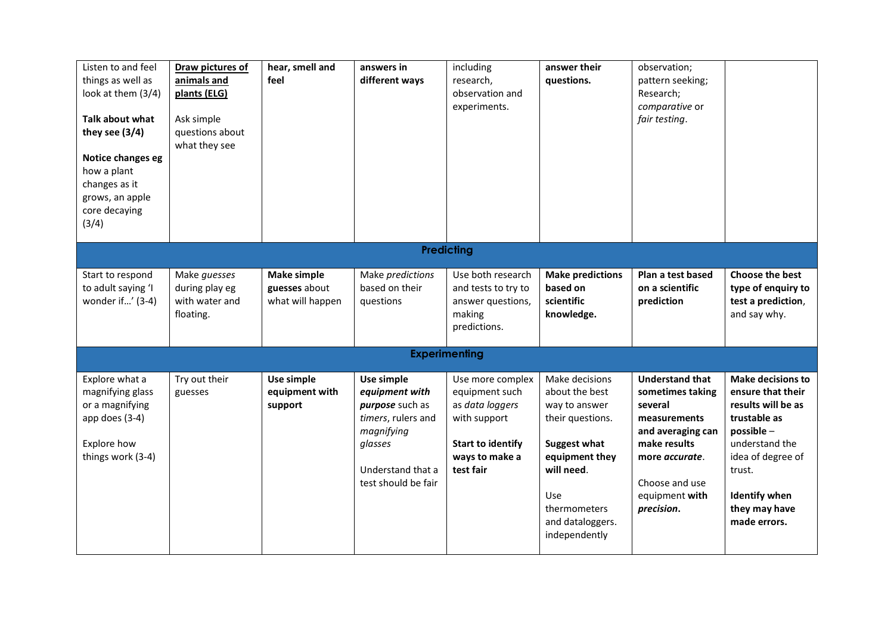| Listen to and feel<br>things as well as<br>look at them (3/4)<br>Talk about what<br>they see (3/4)<br>Notice changes eg<br>how a plant<br>changes as it<br>grows, an apple<br>core decaying<br>(3/4) | Draw pictures of<br>animals and<br>plants (ELG)<br>Ask simple<br>questions about<br>what they see | hear, smell and<br>feel                                 | answers in<br>different ways                                                                                                               | including<br>research,<br>observation and<br>experiments.                                                                        | answer their<br>questions.                                                                                                                                                               | observation;<br>pattern seeking;<br>Research;<br>comparative or<br>fair testing.                                                                                                       |                                                                                                                                                                                                            |
|------------------------------------------------------------------------------------------------------------------------------------------------------------------------------------------------------|---------------------------------------------------------------------------------------------------|---------------------------------------------------------|--------------------------------------------------------------------------------------------------------------------------------------------|----------------------------------------------------------------------------------------------------------------------------------|------------------------------------------------------------------------------------------------------------------------------------------------------------------------------------------|----------------------------------------------------------------------------------------------------------------------------------------------------------------------------------------|------------------------------------------------------------------------------------------------------------------------------------------------------------------------------------------------------------|
| <b>Predicting</b>                                                                                                                                                                                    |                                                                                                   |                                                         |                                                                                                                                            |                                                                                                                                  |                                                                                                                                                                                          |                                                                                                                                                                                        |                                                                                                                                                                                                            |
| Start to respond<br>to adult saying 'I<br>wonder if' (3-4)                                                                                                                                           | Make guesses<br>during play eg<br>with water and<br>floating.                                     | <b>Make simple</b><br>guesses about<br>what will happen | Make predictions<br>based on their<br>questions                                                                                            | Use both research<br>and tests to try to<br>answer questions,<br>making<br>predictions.                                          | <b>Make predictions</b><br>based on<br>scientific<br>knowledge.                                                                                                                          | Plan a test based<br>on a scientific<br>prediction                                                                                                                                     | <b>Choose the best</b><br>type of enquiry to<br>test a prediction,<br>and say why.                                                                                                                         |
|                                                                                                                                                                                                      |                                                                                                   |                                                         |                                                                                                                                            | <b>Experimenting</b>                                                                                                             |                                                                                                                                                                                          |                                                                                                                                                                                        |                                                                                                                                                                                                            |
| Explore what a<br>magnifying glass<br>or a magnifying<br>app does (3-4)<br>Explore how<br>things work (3-4)                                                                                          | Try out their<br>guesses                                                                          | Use simple<br>equipment with<br>support                 | Use simple<br>equipment with<br>purpose such as<br>timers, rulers and<br>magnifying<br>glasses<br>Understand that a<br>test should be fair | Use more complex<br>equipment such<br>as data loggers<br>with support<br><b>Start to identify</b><br>ways to make a<br>test fair | Make decisions<br>about the best<br>way to answer<br>their questions.<br><b>Suggest what</b><br>equipment they<br>will need.<br>Use<br>thermometers<br>and dataloggers.<br>independently | <b>Understand that</b><br>sometimes taking<br>several<br>measurements<br>and averaging can<br>make results<br>more <i>accurate</i> .<br>Choose and use<br>equipment with<br>precision. | <b>Make decisions to</b><br>ensure that their<br>results will be as<br>trustable as<br>possible-<br>understand the<br>idea of degree of<br>trust.<br><b>Identify when</b><br>they may have<br>made errors. |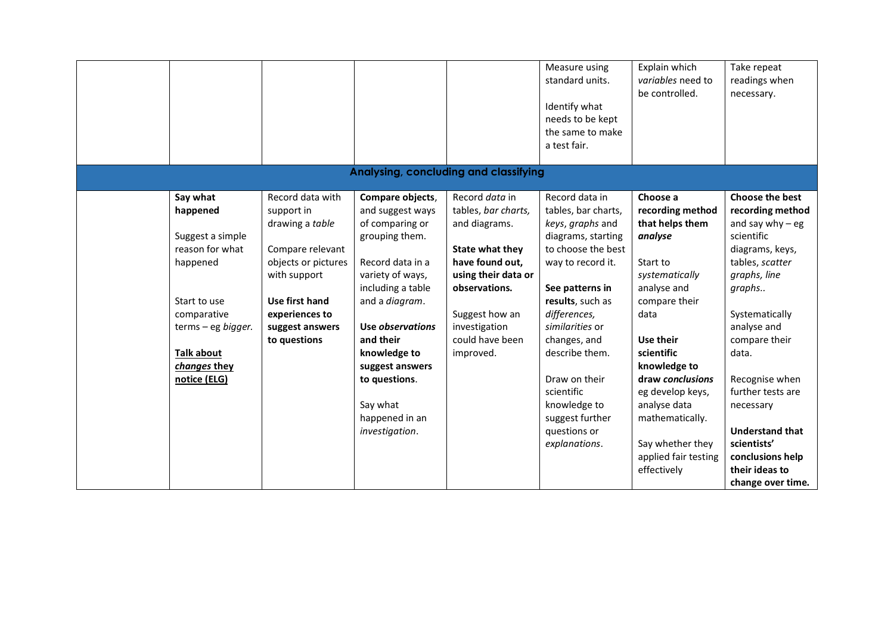|                                                                                                                                                                                   |                                                                                                                                                                                     |                                                                                                                                                                                                                                                                                               |                                                                                                                                                                                                         | Measure using<br>standard units.<br>Identify what<br>needs to be kept<br>the same to make<br>a test fair.                                                                                                                                                                                                                                 | Explain which<br>variables need to<br>be controlled.                                                                                                                                                                                                                                               | Take repeat<br>readings when<br>necessary.                                                                                                                                                                                                                                                                                 |
|-----------------------------------------------------------------------------------------------------------------------------------------------------------------------------------|-------------------------------------------------------------------------------------------------------------------------------------------------------------------------------------|-----------------------------------------------------------------------------------------------------------------------------------------------------------------------------------------------------------------------------------------------------------------------------------------------|---------------------------------------------------------------------------------------------------------------------------------------------------------------------------------------------------------|-------------------------------------------------------------------------------------------------------------------------------------------------------------------------------------------------------------------------------------------------------------------------------------------------------------------------------------------|----------------------------------------------------------------------------------------------------------------------------------------------------------------------------------------------------------------------------------------------------------------------------------------------------|----------------------------------------------------------------------------------------------------------------------------------------------------------------------------------------------------------------------------------------------------------------------------------------------------------------------------|
|                                                                                                                                                                                   |                                                                                                                                                                                     | Analysing, concluding and classifying                                                                                                                                                                                                                                                         |                                                                                                                                                                                                         |                                                                                                                                                                                                                                                                                                                                           |                                                                                                                                                                                                                                                                                                    |                                                                                                                                                                                                                                                                                                                            |
| Say what<br>happened<br>Suggest a simple<br>reason for what<br>happened<br>Start to use<br>comparative<br>terms - eg bigger.<br><b>Talk about</b><br>changes they<br>notice (ELG) | Record data with<br>support in<br>drawing a table<br>Compare relevant<br>objects or pictures<br>with support<br>Use first hand<br>experiences to<br>suggest answers<br>to questions | Compare objects,<br>and suggest ways<br>of comparing or<br>grouping them.<br>Record data in a<br>variety of ways,<br>including a table<br>and a diagram.<br>Use observations<br>and their<br>knowledge to<br>suggest answers<br>to questions.<br>Say what<br>happened in an<br>investigation. | Record data in<br>tables, bar charts,<br>and diagrams.<br>State what they<br>have found out,<br>using their data or<br>observations.<br>Suggest how an<br>investigation<br>could have been<br>improved. | Record data in<br>tables, bar charts,<br>keys, graphs and<br>diagrams, starting<br>to choose the best<br>way to record it.<br>See patterns in<br>results, such as<br>differences,<br>similarities or<br>changes, and<br>describe them.<br>Draw on their<br>scientific<br>knowledge to<br>suggest further<br>questions or<br>explanations. | Choose a<br>recording method<br>that helps them<br>analyse<br>Start to<br>systematically<br>analyse and<br>compare their<br>data<br>Use their<br>scientific<br>knowledge to<br>draw conclusions<br>eg develop keys,<br>analyse data<br>mathematically.<br>Say whether they<br>applied fair testing | <b>Choose the best</b><br>recording method<br>and say why $-$ eg<br>scientific<br>diagrams, keys,<br>tables, scatter<br>graphs, line<br>graphs<br>Systematically<br>analyse and<br>compare their<br>data.<br>Recognise when<br>further tests are<br>necessary<br><b>Understand that</b><br>scientists'<br>conclusions help |
|                                                                                                                                                                                   |                                                                                                                                                                                     |                                                                                                                                                                                                                                                                                               |                                                                                                                                                                                                         |                                                                                                                                                                                                                                                                                                                                           | effectively                                                                                                                                                                                                                                                                                        | their ideas to<br>change over time.                                                                                                                                                                                                                                                                                        |